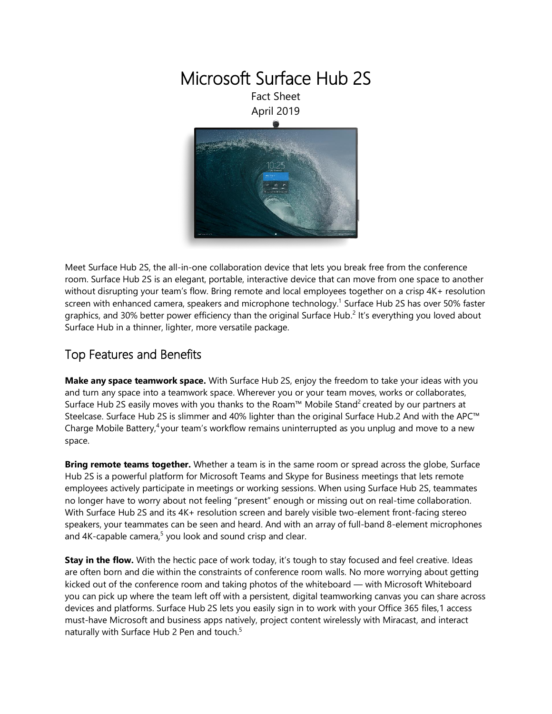

Meet Surface Hub 2S, the all-in-one collaboration device that lets you break free from the conference room. Surface Hub 2S is an elegant, portable, interactive device that can move from one space to another without disrupting your team's flow. Bring remote and local employees together on a crisp 4K+ resolution screen with enhanced camera, speakers and microphone technology.<sup>1</sup> Surface Hub 2S has over 50% faster graphics, and 30% better power efficiency than the original Surface Hub.<sup>2</sup> It's everything you loved about Surface Hub in a thinner, lighter, more versatile package.

### Top Features and Benefits

**Make any space teamwork space.** With Surface Hub 2S, enjoy the freedom to take your ideas with you and turn any space into a teamwork space. Wherever you or your team moves, works or collaborates, Surface Hub 2S easily moves with you thanks to the Roam™ Mobile Stand<sup>2</sup> created by our partners at Steelcase. Surface Hub 2S is slimmer and 40% lighter than the original Surface Hub.2 And with the APC™ Charge Mobile Battery,<sup>4</sup> your team's workflow remains uninterrupted as you unplug and move to a new space.

**Bring remote teams together.** Whether a team is in the same room or spread across the globe, Surface Hub 2S is a powerful platform for Microsoft Teams and Skype for Business meetings that lets remote employees actively participate in meetings or working sessions. When using Surface Hub 2S, teammates no longer have to worry about not feeling "present" enough or missing out on real-time collaboration. With Surface Hub 2S and its 4K+ resolution screen and barely visible two-element front-facing stereo speakers, your teammates can be seen and heard. And with an array of full-band 8-element microphones and 4K-capable camera,<sup>5</sup> you look and sound crisp and clear.

**Stay in the flow.** With the hectic pace of work today, it's tough to stay focused and feel creative. Ideas are often born and die within the constraints of conference room walls. No more worrying about getting kicked out of the conference room and taking photos of the whiteboard — with Microsoft Whiteboard you can pick up where the team left off with a persistent, digital teamworking canvas you can share across devices and platforms. Surface Hub 2S lets you easily sign in to work with your Office 365 files,1 access must-have Microsoft and business apps natively, project content wirelessly with Miracast, and interact naturally with Surface Hub 2 Pen and touch. 5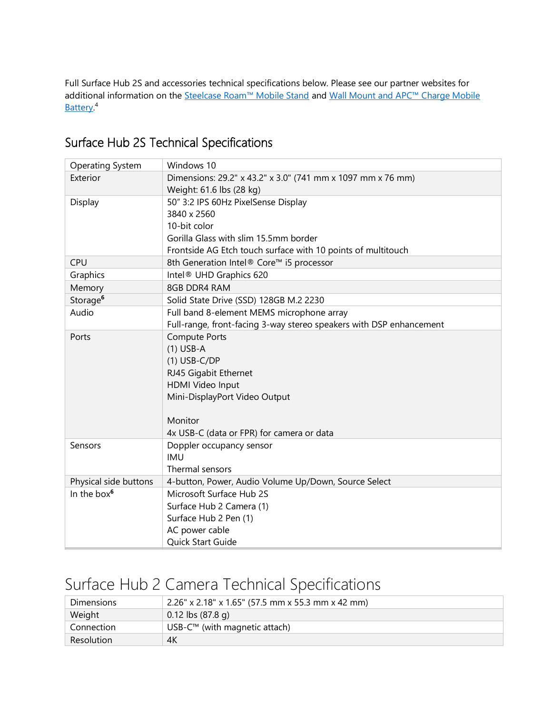Full Surface Hub 2S and accessories technical specifications below. Please see our partner websites for additional information on the [Steelcase Roam™ Mobile Stand](https://www.steelcase.com/Roam) and Wall Mount and APC™ Charge Mobile [Battery.](https://www.apc.com/us/en/campaign/apc-charge-mobile-battery-for-microsoft-surface-hub-2.jsp)<sup>4</sup>

| <b>Operating System</b> | Windows 10                                                          |  |  |
|-------------------------|---------------------------------------------------------------------|--|--|
| Exterior                | Dimensions: 29.2" x 43.2" x 3.0" (741 mm x 1097 mm x 76 mm)         |  |  |
|                         | Weight: 61.6 lbs (28 kg)                                            |  |  |
| Display                 | 50" 3:2 IPS 60Hz PixelSense Display                                 |  |  |
|                         | 3840 x 2560                                                         |  |  |
|                         | 10-bit color                                                        |  |  |
|                         | Gorilla Glass with slim 15.5mm border                               |  |  |
|                         | Frontside AG Etch touch surface with 10 points of multitouch        |  |  |
| <b>CPU</b>              | 8th Generation Intel® Core™ i5 processor                            |  |  |
| Graphics                | Intel <sup>®</sup> UHD Graphics 620                                 |  |  |
| Memory                  | 8GB DDR4 RAM                                                        |  |  |
| Storage <sup>6</sup>    | Solid State Drive (SSD) 128GB M.2 2230                              |  |  |
| Audio                   | Full band 8-element MEMS microphone array                           |  |  |
|                         | Full-range, front-facing 3-way stereo speakers with DSP enhancement |  |  |
| Ports                   | <b>Compute Ports</b>                                                |  |  |
|                         | $(1)$ USB-A                                                         |  |  |
|                         | $(1)$ USB-C/DP                                                      |  |  |
|                         | RJ45 Gigabit Ethernet                                               |  |  |
|                         | HDMI Video Input                                                    |  |  |
|                         | Mini-DisplayPort Video Output                                       |  |  |
|                         |                                                                     |  |  |
|                         | Monitor                                                             |  |  |
|                         | 4x USB-C (data or FPR) for camera or data                           |  |  |
| Sensors                 | Doppler occupancy sensor                                            |  |  |
|                         | <b>IMU</b>                                                          |  |  |
|                         | Thermal sensors                                                     |  |  |
| Physical side buttons   | 4-button, Power, Audio Volume Up/Down, Source Select                |  |  |
| In the box <sup>6</sup> | Microsoft Surface Hub 2S                                            |  |  |
|                         | Surface Hub 2 Camera (1)                                            |  |  |
|                         | Surface Hub 2 Pen (1)                                               |  |  |
|                         | AC power cable                                                      |  |  |
|                         | Quick Start Guide                                                   |  |  |

### Surface Hub 2S Technical Specifications

# Surface Hub 2 Camera Technical Specifications

| <b>Dimensions</b> | $2.26''$ x 2.18" x 1.65" (57.5 mm x 55.3 mm x 42 mm) |  |
|-------------------|------------------------------------------------------|--|
| Weight            | $0.12$ lbs (87.8 g)                                  |  |
| Connection        | USB- $C™$ (with magnetic attach)                     |  |
| Resolution        | 4K                                                   |  |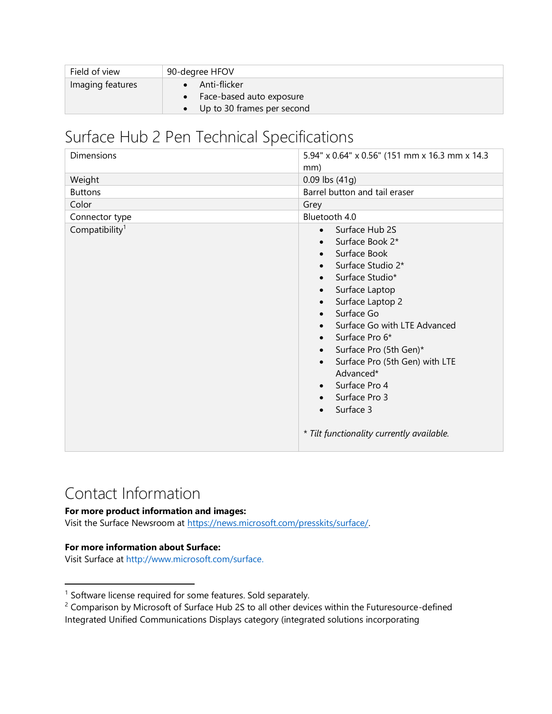| Field of view    | 90-degree HFOV             |
|------------------|----------------------------|
| Imaging features | Anti-flicker               |
|                  | Face-based auto exposure   |
|                  | Up to 30 frames per second |

## Surface Hub 2 Pen Technical Specifications

| <b>Dimensions</b>          | 5.94" x 0.64" x 0.56" (151 mm x 16.3 mm x 14.3<br>mm)                                                                                                                                                                                                                                                                                                                                          |
|----------------------------|------------------------------------------------------------------------------------------------------------------------------------------------------------------------------------------------------------------------------------------------------------------------------------------------------------------------------------------------------------------------------------------------|
| Weight                     | 0.09 lbs (41g)                                                                                                                                                                                                                                                                                                                                                                                 |
| <b>Buttons</b>             | Barrel button and tail eraser                                                                                                                                                                                                                                                                                                                                                                  |
| Color                      | Grey                                                                                                                                                                                                                                                                                                                                                                                           |
| Connector type             | Bluetooth 4.0                                                                                                                                                                                                                                                                                                                                                                                  |
| Compatibility <sup>1</sup> | Surface Hub 2S<br>$\bullet$<br>Surface Book 2*<br>Surface Book<br>Surface Studio 2*<br>Surface Studio*<br>Surface Laptop<br>$\bullet$<br>Surface Laptop 2<br>Surface Go<br>Surface Go with LTE Advanced<br>Surface Pro 6*<br>Surface Pro (5th Gen)*<br>Surface Pro (5th Gen) with LTE<br>Advanced*<br>Surface Pro 4<br>Surface Pro 3<br>Surface 3<br>* Tilt functionality currently available. |

## Contact Information

#### **For more product information and images:**

Visit the Surface Newsroom at [https://news.microsoft.com/presskits/surface/.](https://news.microsoft.com/presskits/surface/)

#### **For more information about Surface:**

 $\overline{\phantom{a}}$ 

Visit Surface at [http://www.microsoft.com/surface.](http://www.microsoft.com/surface)

<sup>&</sup>lt;sup>1</sup> Software license required for some features. Sold separately.

<sup>&</sup>lt;sup>2</sup> Comparison by Microsoft of Surface Hub 2S to all other devices within the Futuresource-defined Integrated Unified Communications Displays category (integrated solutions incorporating